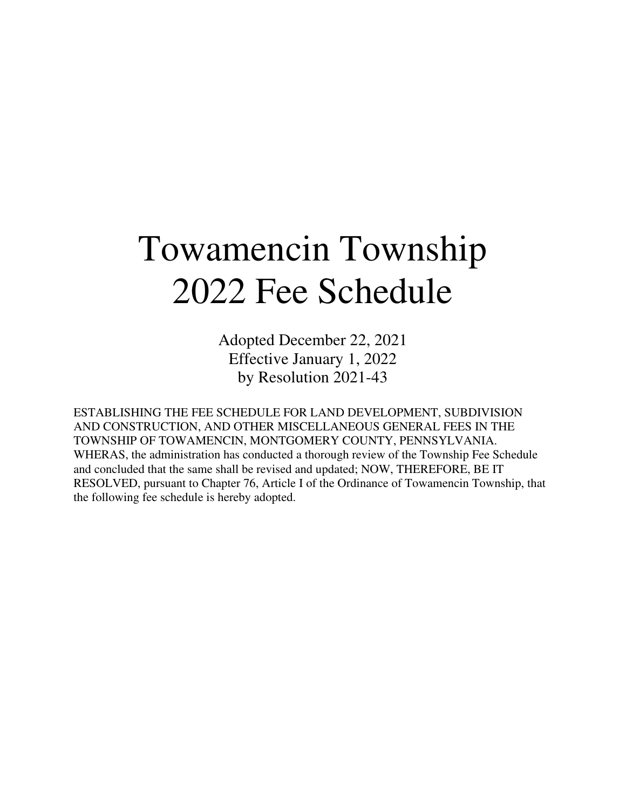# Towamencin Township 2022 Fee Schedule

Adopted December 22, 2021 Effective January 1, 2022 by Resolution 2021-43

ESTABLISHING THE FEE SCHEDULE FOR LAND DEVELOPMENT, SUBDIVISION AND CONSTRUCTION, AND OTHER MISCELLANEOUS GENERAL FEES IN THE TOWNSHIP OF TOWAMENCIN, MONTGOMERY COUNTY, PENNSYLVANIA. WHERAS, the administration has conducted a thorough review of the Township Fee Schedule and concluded that the same shall be revised and updated; NOW, THEREFORE, BE IT RESOLVED, pursuant to Chapter 76, Article I of the Ordinance of Towamencin Township, that the following fee schedule is hereby adopted.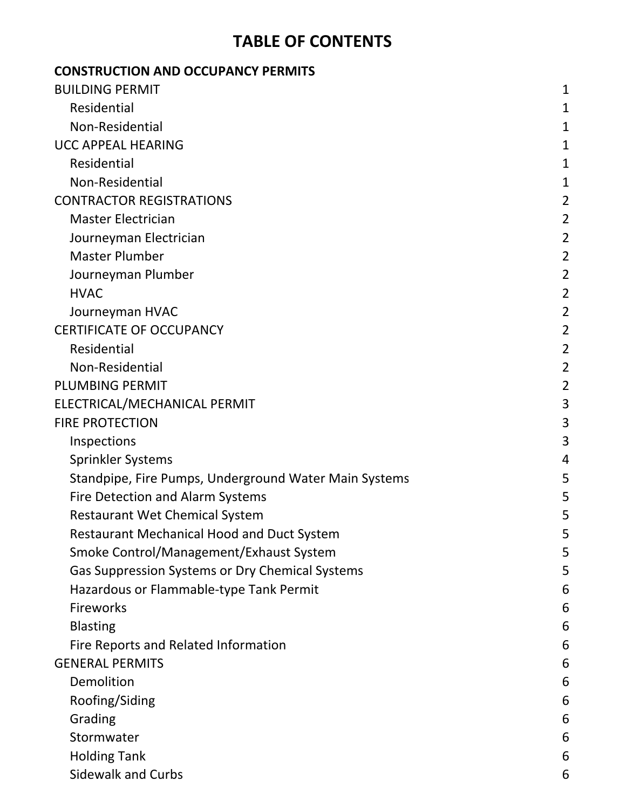# TABLE OF CONTENTS

| <b>CONSTRUCTION AND OCCUPANCY PERMITS</b>             |                |
|-------------------------------------------------------|----------------|
| <b>BUILDING PERMIT</b>                                | 1              |
| Residential                                           | 1              |
| Non-Residential                                       | 1              |
| <b>UCC APPEAL HEARING</b>                             | 1              |
| Residential                                           | 1              |
| Non-Residential                                       | 1              |
| <b>CONTRACTOR REGISTRATIONS</b>                       | $\overline{2}$ |
| <b>Master Electrician</b>                             | $\overline{2}$ |
| Journeyman Electrician                                | $\overline{2}$ |
| <b>Master Plumber</b>                                 | $\overline{2}$ |
| Journeyman Plumber                                    | $\overline{2}$ |
| <b>HVAC</b>                                           | $\overline{2}$ |
| Journeyman HVAC                                       | $\overline{2}$ |
| <b>CERTIFICATE OF OCCUPANCY</b>                       | $\overline{2}$ |
| Residential                                           | $\overline{2}$ |
| Non-Residential                                       | $\overline{2}$ |
| <b>PLUMBING PERMIT</b>                                | $\overline{2}$ |
| ELECTRICAL/MECHANICAL PERMIT                          | 3              |
| <b>FIRE PROTECTION</b>                                | 3              |
| Inspections                                           | 3              |
| <b>Sprinkler Systems</b>                              | 4              |
| Standpipe, Fire Pumps, Underground Water Main Systems | 5              |
| <b>Fire Detection and Alarm Systems</b>               | 5              |
| <b>Restaurant Wet Chemical System</b>                 | 5              |
| <b>Restaurant Mechanical Hood and Duct System</b>     | 5              |
| Smoke Control/Management/Exhaust System               | 5              |
| Gas Suppression Systems or Dry Chemical Systems       | 5              |
| Hazardous or Flammable-type Tank Permit               | 6              |
| <b>Fireworks</b>                                      | 6              |
| <b>Blasting</b>                                       | 6              |
| Fire Reports and Related Information                  | 6              |
| <b>GENERAL PERMITS</b>                                | 6              |
| Demolition                                            | 6              |
| Roofing/Siding                                        | 6              |
| Grading                                               | 6              |
| Stormwater                                            | 6              |
| <b>Holding Tank</b>                                   | 6              |
| <b>Sidewalk and Curbs</b>                             | 6              |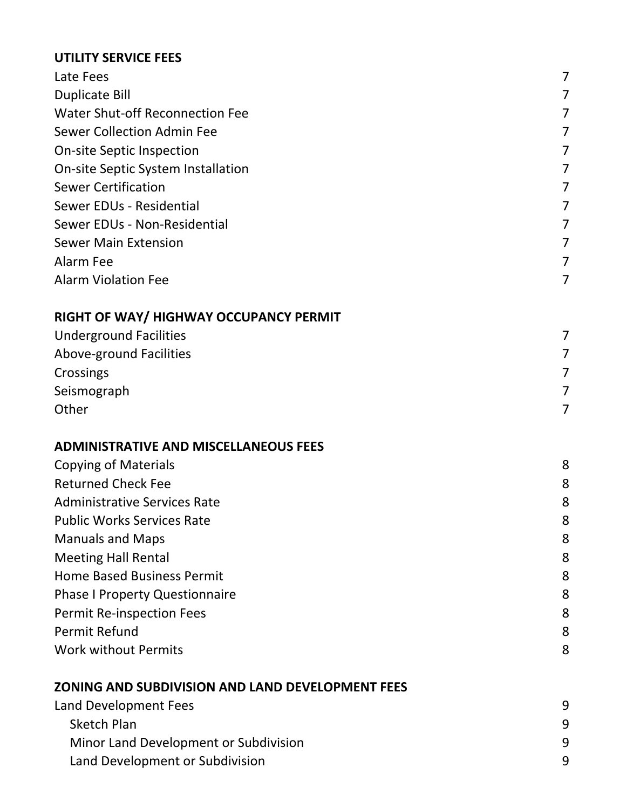#### UTILITY SERVICE FEES

| <b>UTILITY SERVICE FEES</b>                             |   |
|---------------------------------------------------------|---|
| Late Fees                                               | 7 |
| <b>Duplicate Bill</b>                                   | 7 |
| <b>Water Shut-off Reconnection Fee</b>                  | 7 |
| <b>Sewer Collection Admin Fee</b>                       | 7 |
| <b>On-site Septic Inspection</b>                        | 7 |
| On-site Septic System Installation                      | 7 |
| <b>Sewer Certification</b>                              | 7 |
| Sewer EDUs - Residential                                | 7 |
| Sewer EDUs - Non-Residential                            | 7 |
| <b>Sewer Main Extension</b>                             | 7 |
| Alarm Fee                                               | 7 |
| <b>Alarm Violation Fee</b>                              | 7 |
| RIGHT OF WAY/HIGHWAY OCCUPANCY PERMIT                   |   |
| <b>Underground Facilities</b>                           | 7 |
| Above-ground Facilities                                 | 7 |
| Crossings                                               | 7 |
| Seismograph                                             | 7 |
| Other                                                   | 7 |
| <b>ADMINISTRATIVE AND MISCELLANEOUS FEES</b>            |   |
| <b>Copying of Materials</b>                             | 8 |
| <b>Returned Check Fee</b>                               | 8 |
| <b>Administrative Services Rate</b>                     | 8 |
| <b>Public Works Services Rate</b>                       | 8 |
| <b>Manuals and Maps</b>                                 | 8 |
| <b>Meeting Hall Rental</b>                              | 8 |
| <b>Home Based Business Permit</b>                       | 8 |
| <b>Phase I Property Questionnaire</b>                   | 8 |
| <b>Permit Re-inspection Fees</b>                        | 8 |
| <b>Permit Refund</b>                                    | 8 |
| <b>Work without Permits</b>                             | 8 |
| <b>ZONING AND SUBDIVISION AND LAND DEVELOPMENT FEES</b> |   |

| Land Development Fees                 |   |
|---------------------------------------|---|
| Sketch Plan                           | q |
| Minor Land Development or Subdivision | q |
| Land Development or Subdivision       | q |
|                                       |   |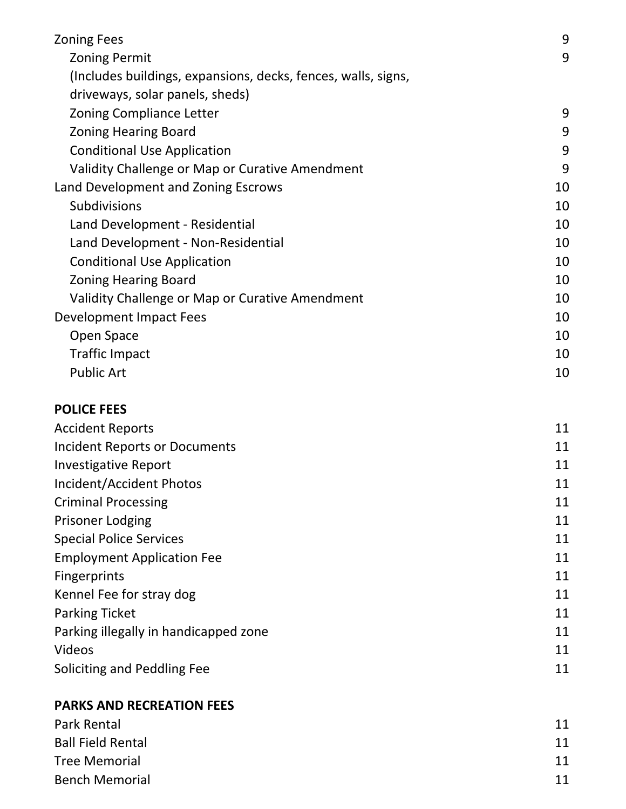| <b>Zoning Fees</b>                                            | 9  |
|---------------------------------------------------------------|----|
| <b>Zoning Permit</b>                                          | 9  |
| (Includes buildings, expansions, decks, fences, walls, signs, |    |
| driveways, solar panels, sheds)                               |    |
| <b>Zoning Compliance Letter</b>                               | 9  |
| <b>Zoning Hearing Board</b>                                   | 9  |
| <b>Conditional Use Application</b>                            | 9  |
| Validity Challenge or Map or Curative Amendment               | 9  |
| Land Development and Zoning Escrows                           | 10 |
| <b>Subdivisions</b>                                           | 10 |
| Land Development - Residential                                | 10 |
| Land Development - Non-Residential                            | 10 |
| <b>Conditional Use Application</b>                            | 10 |
| <b>Zoning Hearing Board</b>                                   | 10 |
| Validity Challenge or Map or Curative Amendment               | 10 |
| Development Impact Fees                                       | 10 |
| Open Space                                                    | 10 |
| <b>Traffic Impact</b>                                         | 10 |
| <b>Public Art</b>                                             | 10 |

#### POLICE FEES

| 11 |
|----|
| 11 |
| 11 |
| 11 |
| 11 |
| 11 |
| 11 |
| 11 |
| 11 |
| 11 |
| 11 |
| 11 |
| 11 |
| 11 |
|    |

#### PARKS AND RECREATION FEES

| Park Rental              | 11 |
|--------------------------|----|
| <b>Ball Field Rental</b> | 11 |
| <b>Tree Memorial</b>     | 11 |
| <b>Bench Memorial</b>    | 11 |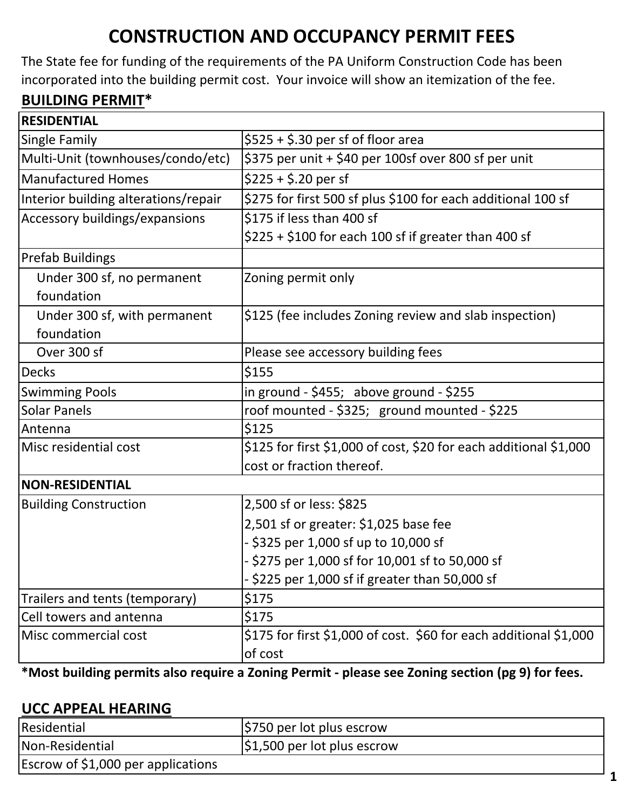# CONSTRUCTION AND OCCUPANCY PERMIT FEES

The State fee for funding of the requirements of the PA Uniform Construction Code has been incorporated into the building permit cost. Your invoice will show an itemization of the fee.

# BUILDING PERMIT\*

| <b>RESIDENTIAL</b>                   |                                                                   |
|--------------------------------------|-------------------------------------------------------------------|
| Single Family                        | $$525 + $.30$ per sf of floor area                                |
| Multi-Unit (townhouses/condo/etc)    | \$375 per unit + \$40 per 100sf over 800 sf per unit              |
| Manufactured Homes                   | $$225 + $.20$ per sf                                              |
| Interior building alterations/repair | \$275 for first 500 sf plus \$100 for each additional 100 sf      |
| Accessory buildings/expansions       | \$175 if less than 400 sf                                         |
|                                      | $$225 + $100$ for each 100 sf if greater than 400 sf              |
| <b>Prefab Buildings</b>              |                                                                   |
| Under 300 sf, no permanent           | Zoning permit only                                                |
| foundation                           |                                                                   |
| Under 300 sf, with permanent         | \$125 (fee includes Zoning review and slab inspection)            |
| foundation                           |                                                                   |
| Over 300 sf                          | Please see accessory building fees                                |
| <b>Decks</b>                         | \$155                                                             |
| <b>Swimming Pools</b>                | in ground - $$455;$ above ground - $$255$                         |
| <b>Solar Panels</b>                  | roof mounted - \$325; ground mounted - \$225                      |
| Antenna                              | \$125                                                             |
| Misc residential cost                | \$125 for first \$1,000 of cost, \$20 for each additional \$1,000 |
|                                      | cost or fraction thereof.                                         |
| <b>NON-RESIDENTIAL</b>               |                                                                   |
| <b>Building Construction</b>         | 2,500 sf or less: \$825                                           |
|                                      | 2,501 sf or greater: \$1,025 base fee                             |
|                                      | - \$325 per 1,000 sf up to 10,000 sf                              |
|                                      | - \$275 per 1,000 sf for 10,001 sf to 50,000 sf                   |
|                                      | - \$225 per 1,000 sf if greater than 50,000 sf                    |
| Trailers and tents (temporary)       | \$175                                                             |
| Cell towers and antenna              | \$175                                                             |
| Misc commercial cost                 | \$175 for first \$1,000 of cost. \$60 for each additional \$1,000 |
|                                      | of cost                                                           |

\*Most building permits also require a Zoning Permit - please see Zoning section (pg 9) for fees.

#### UCC APPEAL HEARING

| Residential                        | S750 per lot plus escrow               |
|------------------------------------|----------------------------------------|
| Non-Residential                    | $\frac{1}{2}$ ,500 per lot plus escrow |
| Escrow of \$1,000 per applications |                                        |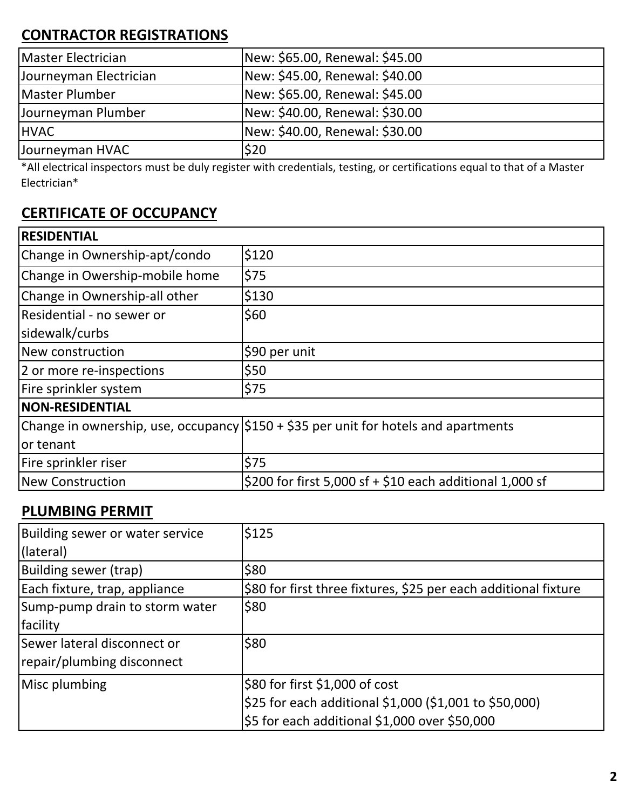## CONTRACTOR REGISTRATIONS

| Master Electrician     | New: \$65.00, Renewal: \$45.00 |
|------------------------|--------------------------------|
| Journeyman Electrician | New: \$45.00, Renewal: \$40.00 |
| Master Plumber         | New: \$65.00, Renewal: \$45.00 |
| Journeyman Plumber     | New: \$40.00, Renewal: \$30.00 |
| <b>HVAC</b>            | New: \$40.00, Renewal: \$30.00 |
| Journeyman HVAC        | \$20                           |

\*All electrical inspectors must be duly register with credentials, testing, or certifications equal to that of a Master Electrician\*

## CERTIFICATE OF OCCUPANCY

| <b>RESIDENTIAL</b>             |                                                                                     |  |
|--------------------------------|-------------------------------------------------------------------------------------|--|
| Change in Ownership-apt/condo  | \$120                                                                               |  |
| Change in Owership-mobile home | \$75                                                                                |  |
| Change in Ownership-all other  | \$130                                                                               |  |
| Residential - no sewer or      | \$60                                                                                |  |
| sidewalk/curbs                 |                                                                                     |  |
| New construction               | \$90 per unit                                                                       |  |
| 2 or more re-inspections       | \$50                                                                                |  |
| Fire sprinkler system          | \$75                                                                                |  |
| <b>NON-RESIDENTIAL</b>         |                                                                                     |  |
|                                | Change in ownership, use, occupancy \$150 + \$35 per unit for hotels and apartments |  |
| or tenant                      |                                                                                     |  |
| Fire sprinkler riser           | \$75                                                                                |  |
| New Construction               | \$200 for first 5,000 sf + \$10 each additional 1,000 sf                            |  |

#### PLUMBING PERMIT

| Building sewer or water service | \$125                                                           |
|---------------------------------|-----------------------------------------------------------------|
| (lateral)                       |                                                                 |
| Building sewer (trap)           | \$80                                                            |
| Each fixture, trap, appliance   | \$80 for first three fixtures, \$25 per each additional fixture |
| Sump-pump drain to storm water  | \$80                                                            |
| facility                        |                                                                 |
| Sewer lateral disconnect or     | \$80                                                            |
| repair/plumbing disconnect      |                                                                 |
| Misc plumbing                   | \$80 for first \$1,000 of cost                                  |
|                                 | \$25 for each additional \$1,000 (\$1,001 to \$50,000)          |
|                                 | \$5 for each additional \$1,000 over \$50,000                   |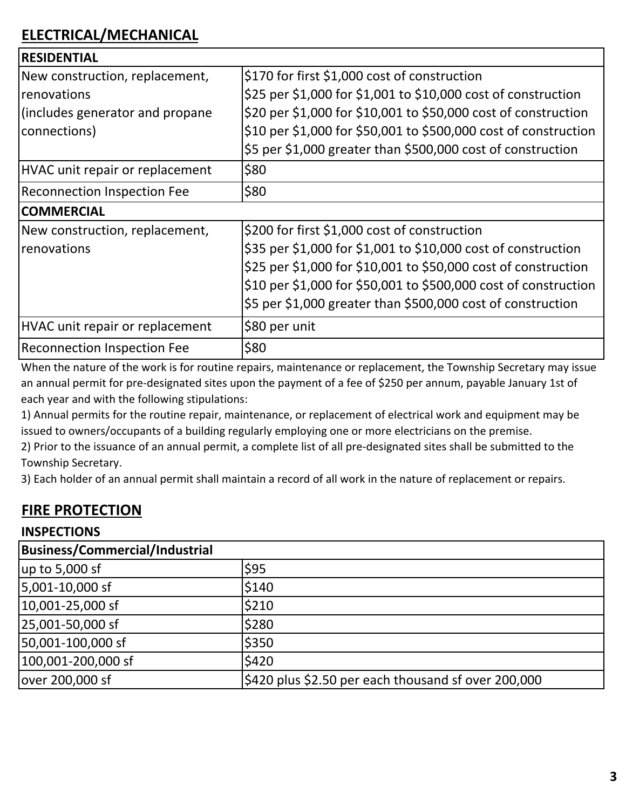| <b>RESIDENTIAL</b>                 |                                                                 |
|------------------------------------|-----------------------------------------------------------------|
| New construction, replacement,     | \$170 for first \$1,000 cost of construction                    |
| <b>renovations</b>                 | \$25 per \$1,000 for \$1,001 to \$10,000 cost of construction   |
| (includes generator and propane    | \$20 per \$1,000 for \$10,001 to \$50,000 cost of construction  |
| connections)                       | \$10 per \$1,000 for \$50,001 to \$500,000 cost of construction |
|                                    | \$5 per \$1,000 greater than \$500,000 cost of construction     |
| HVAC unit repair or replacement    | \$80                                                            |
| <b>Reconnection Inspection Fee</b> | \$80                                                            |
| <b>COMMERCIAL</b>                  |                                                                 |
| New construction, replacement,     | \$200 for first \$1,000 cost of construction                    |
| <b>renovations</b>                 | \$35 per \$1,000 for \$1,001 to \$10,000 cost of construction   |
|                                    | \$25 per \$1,000 for \$10,001 to \$50,000 cost of construction  |
|                                    | \$10 per \$1,000 for \$50,001 to \$500,000 cost of construction |
|                                    | \$5 per \$1,000 greater than \$500,000 cost of construction     |
| HVAC unit repair or replacement    | \$80 per unit                                                   |
| <b>Reconnection Inspection Fee</b> | \$80                                                            |

When the nature of the work is for routine repairs, maintenance or replacement, the Township Secretary may issue an annual permit for pre-designated sites upon the payment of a fee of \$250 per annum, payable January 1st of each year and with the following stipulations:

1) Annual permits for the routine repair, maintenance, or replacement of electrical work and equipment may be issued to owners/occupants of a building regularly employing one or more electricians on the premise.

2) Prior to the issuance of an annual permit, a complete list of all pre-designated sites shall be submitted to the Township Secretary.

3) Each holder of an annual permit shall maintain a record of all work in the nature of replacement or repairs.

## FIRE PROTECTION

#### **INSPECTIONS**

| <b>Business/Commercial/Industrial</b> |                                                                |
|---------------------------------------|----------------------------------------------------------------|
| $\mu$ p to 5,000 sf                   | \$95                                                           |
| 5,001-10,000 sf                       | \$140                                                          |
| 10,001-25,000 sf                      | \$210                                                          |
| 25,001-50,000 sf                      | \$280                                                          |
| 50,001-100,000 sf                     | \$350                                                          |
| 100,001-200,000 sf                    | \$420                                                          |
| over 200,000 sf                       | $\frac{1}{2}420$ plus \$2.50 per each thousand sf over 200,000 |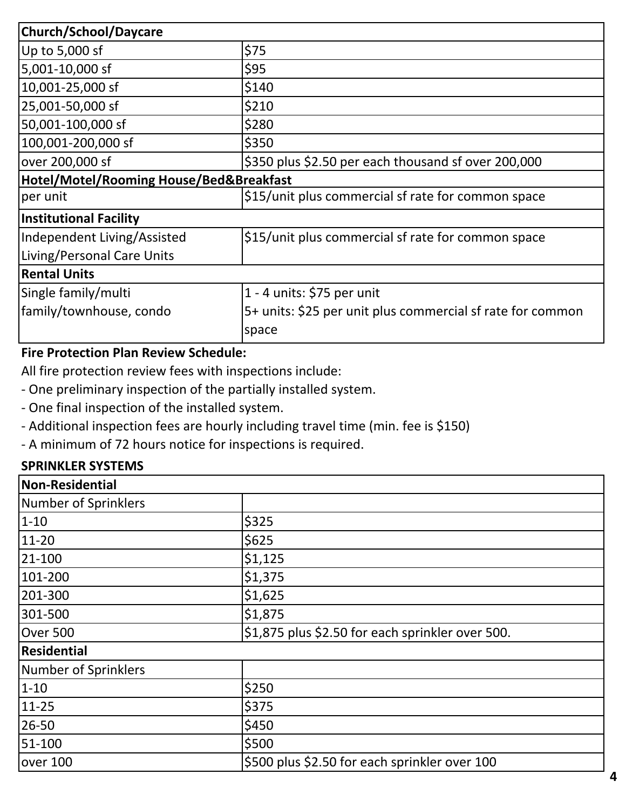| <b>Church/School/Daycare</b>            |                                                            |  |
|-----------------------------------------|------------------------------------------------------------|--|
| Up to 5,000 sf                          | \$75                                                       |  |
| 5,001-10,000 sf                         | \$95                                                       |  |
| 10,001-25,000 sf                        | \$140                                                      |  |
| 25,001-50,000 sf                        | \$210                                                      |  |
| 50,001-100,000 sf                       | \$280                                                      |  |
| 100,001-200,000 sf                      | \$350                                                      |  |
| over 200,000 sf                         | \$350 plus \$2.50 per each thousand sf over 200,000        |  |
| Hotel/Motel/Rooming House/Bed&Breakfast |                                                            |  |
| per unit                                | \$15/unit plus commercial sf rate for common space         |  |
| <b>Institutional Facility</b>           |                                                            |  |
| Independent Living/Assisted             | \$15/unit plus commercial sf rate for common space         |  |
| Living/Personal Care Units              |                                                            |  |
| <b>Rental Units</b>                     |                                                            |  |
| Single family/multi                     | 1 - 4 units: $$75$ per unit                                |  |
| family/townhouse, condo                 | 5+ units: \$25 per unit plus commercial sf rate for common |  |
|                                         | space                                                      |  |

#### Fire Protection Plan Review Schedule:

All fire protection review fees with inspections include:

- One preliminary inspection of the partially installed system.
- One final inspection of the installed system.
- Additional inspection fees are hourly including travel time (min. fee is \$150)
- A minimum of 72 hours notice for inspections is required.

#### SPRINKLER SYSTEMS

| <b>Non-Residential</b> |                                                  |
|------------------------|--------------------------------------------------|
| Number of Sprinklers   |                                                  |
| $1 - 10$               | \$325                                            |
| 11-20                  | \$625                                            |
| 21-100                 | \$1,125                                          |
| 101-200                | \$1,375                                          |
| 201-300                | \$1,625                                          |
| 301-500                | \$1,875                                          |
| Over 500               | \$1,875 plus \$2.50 for each sprinkler over 500. |
| <b>Residential</b>     |                                                  |
| Number of Sprinklers   |                                                  |
| $1 - 10$               | \$250                                            |
| 11-25                  | \$375                                            |
| 26-50                  | \$450                                            |
| 51-100                 | \$500                                            |
| over 100               | \$500 plus \$2.50 for each sprinkler over 100    |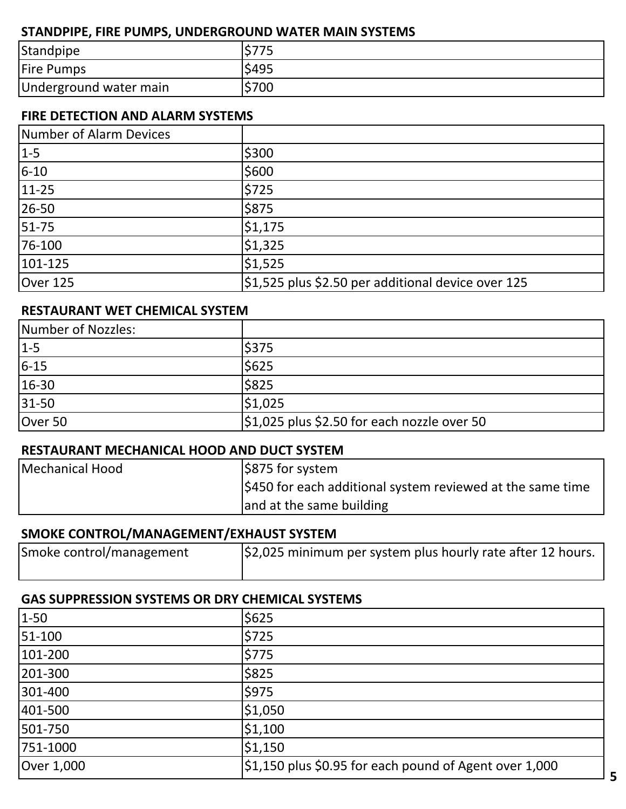#### STANDPIPE, FIRE PUMPS, UNDERGROUND WATER MAIN SYSTEMS

| Standpipe              |       |
|------------------------|-------|
| <b>Fire Pumps</b>      | \$495 |
| Underground water main | \$700 |

#### FIRE DETECTION AND ALARM SYSTEMS

| Number of Alarm Devices |                                                    |
|-------------------------|----------------------------------------------------|
| $1-5$                   | \$300                                              |
| $6 - 10$                | \$600                                              |
| $11 - 25$               | \$725                                              |
| 26-50                   | \$875                                              |
| $51 - 75$               | \$1,175                                            |
| 76-100                  | \$1,325                                            |
| $101 - 125$             | \$1,525                                            |
| Over 125                | \$1,525 plus \$2.50 per additional device over 125 |

#### RESTAURANT WET CHEMICAL SYSTEM

| Number of Nozzles: |                                             |
|--------------------|---------------------------------------------|
| $1-5$              | \$375                                       |
| $6 - 15$           | \$625                                       |
| $16-30$            | \$825                                       |
| $31-50$            | \$1,025                                     |
| Over 50            | \$1,025 plus \$2.50 for each nozzle over 50 |

#### RESTAURANT MECHANICAL HOOD AND DUCT SYSTEM

| Mechanical Hood | $ $ \$875 for system                                       |
|-----------------|------------------------------------------------------------|
|                 | \$450 for each additional system reviewed at the same time |
|                 | and at the same building                                   |

#### SMOKE CONTROL/MANAGEMENT/EXHAUST SYSTEM

| Smoke control/management | $\frac{1}{2}$ ,025 minimum per system plus hourly rate after 12 hours. |
|--------------------------|------------------------------------------------------------------------|
|                          |                                                                        |

#### GAS SUPPRESSION SYSTEMS OR DRY CHEMICAL SYSTEMS

| $1 - 50$   | \$625                                                         |
|------------|---------------------------------------------------------------|
| 51-100     | \$725                                                         |
| 101-200    | \$775                                                         |
| 201-300    | \$825                                                         |
| 301-400    | \$975                                                         |
| 401-500    | \$1,050                                                       |
| 501-750    | \$1,100                                                       |
| 751-1000   | \$1,150                                                       |
| Over 1,000 | $\mid$ \$1,150 plus \$0.95 for each pound of Agent over 1,000 |
|            |                                                               |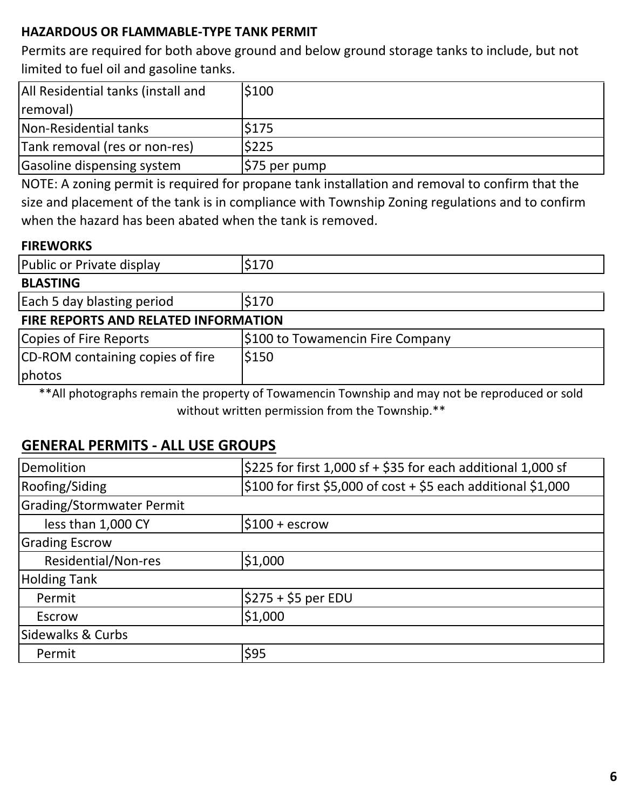#### HAZARDOUS OR FLAMMABLE-TYPE TANK PERMIT

Permits are required for both above ground and below ground storage tanks to include, but not limited to fuel oil and gasoline tanks.

| All Residential tanks (install and | \$100        |
|------------------------------------|--------------|
| removal)                           |              |
| Non-Residential tanks              | <b>S175</b>  |
| Tank removal (res or non-res)      | \$225        |
| Gasoline dispensing system         | S75 per pump |

NOTE: A zoning permit is required for propane tank installation and removal to confirm that the size and placement of the tank is in compliance with Township Zoning regulations and to confirm when the hazard has been abated when the tank is removed.

#### **FIREWORKS**

| Public or Private display            | \$170                            |  |
|--------------------------------------|----------------------------------|--|
| <b>BLASTING</b>                      |                                  |  |
| Each 5 day blasting period           | \$170                            |  |
| FIRE REPORTS AND RELATED INFORMATION |                                  |  |
| Copies of Fire Reports               | \$100 to Towamencin Fire Company |  |
| CD-ROM containing copies of fire     | \$150                            |  |
| photos                               |                                  |  |

\*\*All photographs remain the property of Towamencin Township and may not be reproduced or sold without written permission from the Township.\*\*

## GENERAL PERMITS - ALL USE GROUPS

| Demolition                | \$225 for first 1,000 sf + \$35 for each additional 1,000 sf  |  |
|---------------------------|---------------------------------------------------------------|--|
| Roofing/Siding            | \$100 for first \$5,000 of cost + \$5 each additional \$1,000 |  |
| Grading/Stormwater Permit |                                                               |  |
| less than 1,000 CY        | $$100 + escrow$                                               |  |
| <b>Grading Escrow</b>     |                                                               |  |
| Residential/Non-res       | \$1,000                                                       |  |
| <b>Holding Tank</b>       |                                                               |  |
| Permit                    | $$275 + $5$ per EDU                                           |  |
| Escrow                    | \$1,000                                                       |  |
| Sidewalks & Curbs         |                                                               |  |
| Permit                    | \$95                                                          |  |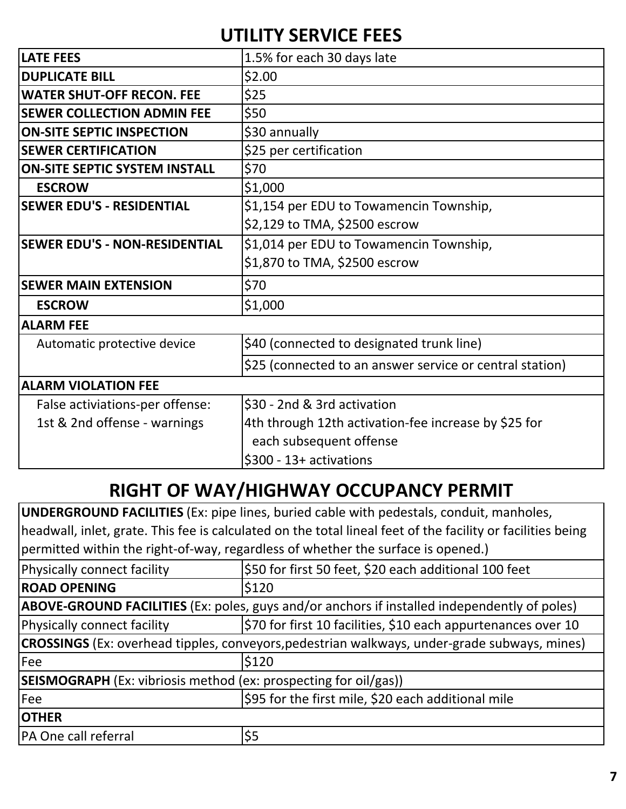# UTILITY SERVICE FEES

| <b>LATE FEES</b>                     | 1.5% for each 30 days late                               |
|--------------------------------------|----------------------------------------------------------|
| <b>DUPLICATE BILL</b>                | \$2.00                                                   |
| <b>WATER SHUT-OFF RECON. FEE</b>     | \$25                                                     |
| <b>SEWER COLLECTION ADMIN FEE</b>    | \$50                                                     |
| <b>ON-SITE SEPTIC INSPECTION</b>     | \$30 annually                                            |
| <b>SEWER CERTIFICATION</b>           | \$25 per certification                                   |
| <b>ON-SITE SEPTIC SYSTEM INSTALL</b> | \$70                                                     |
| <b>ESCROW</b>                        | \$1,000                                                  |
| <b>SEWER EDU'S - RESIDENTIAL</b>     | \$1,154 per EDU to Towamencin Township,                  |
|                                      | \$2,129 to TMA, \$2500 escrow                            |
| <b>SEWER EDU'S - NON-RESIDENTIAL</b> | \$1,014 per EDU to Towamencin Township,                  |
|                                      | \$1,870 to TMA, \$2500 escrow                            |
| <b>SEWER MAIN EXTENSION</b>          | \$70                                                     |
| <b>ESCROW</b>                        | \$1,000                                                  |
| <b>ALARM FEE</b>                     |                                                          |
| Automatic protective device          | \$40 (connected to designated trunk line)                |
|                                      | \$25 (connected to an answer service or central station) |
| <b>ALARM VIOLATION FEE</b>           |                                                          |
| False activiations-per offense:      | \$30 - 2nd & 3rd activation                              |
| 1st & 2nd offense - warnings         | 4th through 12th activation-fee increase by \$25 for     |
|                                      | each subsequent offense                                  |
|                                      | \$300 - 13+ activations                                  |
|                                      |                                                          |

# RIGHT OF WAY/HIGHWAY OCCUPANCY PERMIT

UNDERGROUND FACILITIES (Ex: pipe lines, buried cable with pedestals, conduit, manholes, headwall, inlet, grate. This fee is calculated on the total lineal feet of the facility or facilities being permitted within the right-of-way, regardless of whether the surface is opened.)

| Physically connect facility                                                                         | \$50 for first 50 feet, \$20 each additional 100 feet         |  |
|-----------------------------------------------------------------------------------------------------|---------------------------------------------------------------|--|
| <b>ROAD OPENING</b>                                                                                 | \$120                                                         |  |
| <b>ABOVE-GROUND FACILITIES</b> (Ex: poles, guys and/or anchors if installed independently of poles) |                                                               |  |
| Physically connect facility                                                                         | \$70 for first 10 facilities, \$10 each appurtenances over 10 |  |
| <b>CROSSINGS</b> (Ex: overhead tipples, conveyors, pedestrian walkways, under-grade subways, mines) |                                                               |  |
| <b>Fee</b>                                                                                          | \$120                                                         |  |
| <b>SEISMOGRAPH</b> (Ex: vibriosis method (ex: prospecting for oil/gas))                             |                                                               |  |
| Fee                                                                                                 | \$95 for the first mile, \$20 each additional mile            |  |
|                                                                                                     |                                                               |  |
| PA One call referral                                                                                | \$5                                                           |  |
| <b>OTHER</b>                                                                                        |                                                               |  |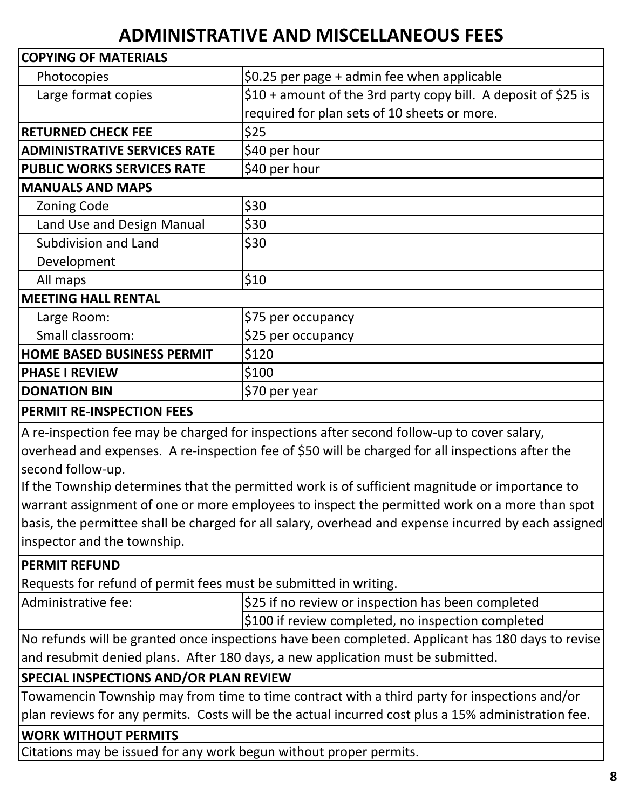# ADMINISTRATIVE AND MISCELLANEOUS FEES

| <b>COPYING OF MATERIALS</b>         |                                                                |
|-------------------------------------|----------------------------------------------------------------|
| Photocopies                         | \$0.25 per page $+$ admin fee when applicable                  |
| Large format copies                 | \$10 + amount of the 3rd party copy bill. A deposit of \$25 is |
|                                     | required for plan sets of 10 sheets or more.                   |
| <b>RETURNED CHECK FEE</b>           | \$25                                                           |
| <b>ADMINISTRATIVE SERVICES RATE</b> | \$40 per hour                                                  |
| <b>PUBLIC WORKS SERVICES RATE</b>   | \$40 per hour                                                  |
| <b>MANUALS AND MAPS</b>             |                                                                |
| <b>Zoning Code</b>                  | \$30                                                           |
| Land Use and Design Manual          | \$30                                                           |
| Subdivision and Land                | \$30                                                           |
| Development                         |                                                                |
| All maps                            | \$10                                                           |
| <b>MEETING HALL RENTAL</b>          |                                                                |
| Large Room:                         | \$75 per occupancy                                             |
| Small classroom:                    | \$25 per occupancy                                             |
| <b>HOME BASED BUSINESS PERMIT</b>   | \$120                                                          |
| <b>PHASE I REVIEW</b>               | \$100                                                          |
| <b>DONATION BIN</b>                 | \$70 per year                                                  |

#### PERMIT RE-INSPECTION FEES

A re-inspection fee may be charged for inspections after second follow-up to cover salary,

overhead and expenses. A re-inspection fee of \$50 will be charged for all inspections after the second follow-up.

If the Township determines that the permitted work is of sufficient magnitude or importance to warrant assignment of one or more employees to inspect the permitted work on a more than spot basis, the permittee shall be charged for all salary, overhead and expense incurred by each assigned inspector and the township.

#### PERMIT REFUND

Requests for refund of permit fees must be submitted in writing.

Administrative fee:  $\frac{1}{25}$  if no review or inspection has been completed \$100 if review completed, no inspection completed

No refunds will be granted once inspections have been completed. Applicant has 180 days to revise and resubmit denied plans. After 180 days, a new application must be submitted.

#### SPECIAL INSPECTIONS AND/OR PLAN REVIEW

Towamencin Township may from time to time contract with a third party for inspections and/or plan reviews for any permits. Costs will be the actual incurred cost plus a 15% administration fee.

#### WORK WITHOUT PERMITS

Citations may be issued for any work begun without proper permits.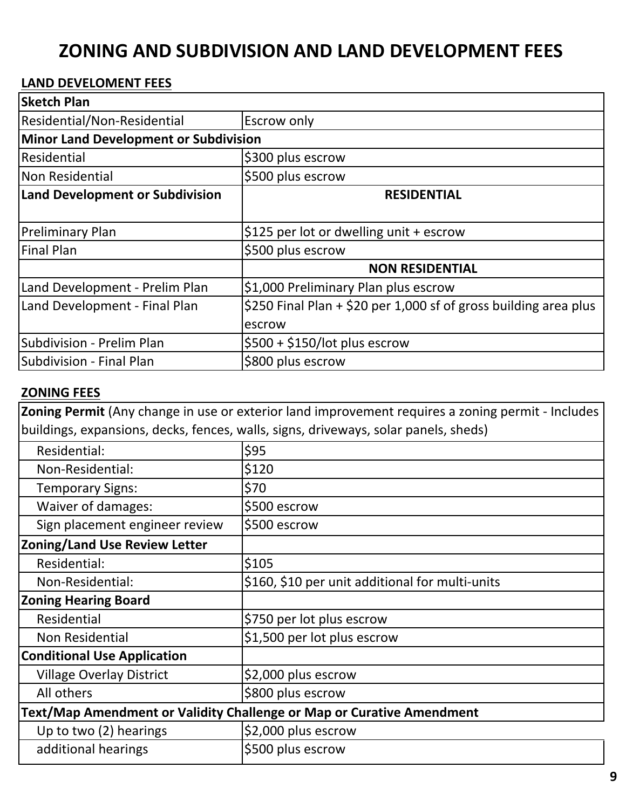# ZONING AND SUBDIVISION AND LAND DEVELOPMENT FEES

#### LAND DEVELOMENT FEES

| <b>Sketch Plan</b>                           |                                                                  |  |
|----------------------------------------------|------------------------------------------------------------------|--|
| Residential/Non-Residential                  | <b>Escrow only</b>                                               |  |
| <b>Minor Land Development or Subdivision</b> |                                                                  |  |
| Residential                                  | \$300 plus escrow                                                |  |
| Non Residential                              | \$500 plus escrow                                                |  |
| <b>Land Development or Subdivision</b>       | <b>RESIDENTIAL</b>                                               |  |
|                                              |                                                                  |  |
| <b>Preliminary Plan</b>                      | \$125 per lot or dwelling unit + escrow                          |  |
| <b>Final Plan</b>                            | \$500 plus escrow                                                |  |
|                                              | <b>NON RESIDENTIAL</b>                                           |  |
| Land Development - Prelim Plan               | \$1,000 Preliminary Plan plus escrow                             |  |
| Land Development - Final Plan                | \$250 Final Plan + \$20 per 1,000 sf of gross building area plus |  |
|                                              | escrow                                                           |  |
| Subdivision - Prelim Plan                    | $$500 + $150/$ lot plus escrow                                   |  |
| Subdivision - Final Plan                     | \$800 plus escrow                                                |  |

#### ZONING FEES

Zoning Permit (Any change in use or exterior land improvement requires a zoning permit - Includes buildings, expansions, decks, fences, walls, signs, driveways, solar panels, sheds)

| Residential:                         | \$95                                                                  |
|--------------------------------------|-----------------------------------------------------------------------|
| Non-Residential:                     | \$120                                                                 |
| <b>Temporary Signs:</b>              | \$70                                                                  |
| Waiver of damages:                   | \$500 escrow                                                          |
| Sign placement engineer review       | \$500 escrow                                                          |
| <b>Zoning/Land Use Review Letter</b> |                                                                       |
| Residential:                         | \$105                                                                 |
| Non-Residential:                     | \$160, \$10 per unit additional for multi-units                       |
| <b>Zoning Hearing Board</b>          |                                                                       |
| Residential                          | \$750 per lot plus escrow                                             |
| Non Residential                      | \$1,500 per lot plus escrow                                           |
| <b>Conditional Use Application</b>   |                                                                       |
| <b>Village Overlay District</b>      | \$2,000 plus escrow                                                   |
| All others                           | \$800 plus escrow                                                     |
|                                      | Text/Map Amendment or Validity Challenge or Map or Curative Amendment |
| Up to two (2) hearings               | \$2,000 plus escrow                                                   |
| additional hearings                  | \$500 plus escrow                                                     |
|                                      |                                                                       |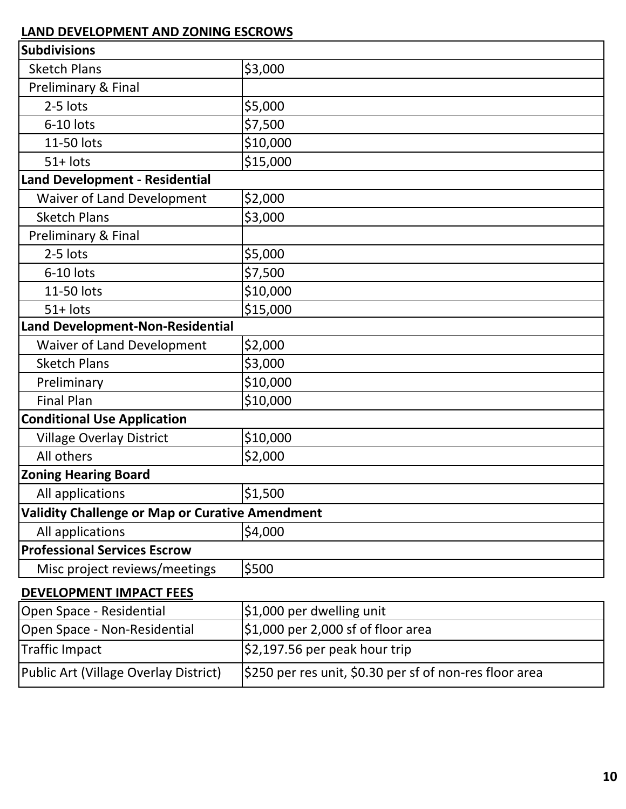| <b>Subdivisions</b>                                    |                                    |
|--------------------------------------------------------|------------------------------------|
| <b>Sketch Plans</b>                                    | \$3,000                            |
| Preliminary & Final                                    |                                    |
| 2-5 lots                                               | \$5,000                            |
| 6-10 lots                                              | \$7,500                            |
| 11-50 lots                                             | \$10,000                           |
| $51+$ lots                                             | \$15,000                           |
| <b>Land Development - Residential</b>                  |                                    |
| <b>Waiver of Land Development</b>                      | \$2,000                            |
| <b>Sketch Plans</b>                                    | \$3,000                            |
| Preliminary & Final                                    |                                    |
| 2-5 lots                                               | \$5,000                            |
| $6-10$ lots                                            | \$7,500                            |
| 11-50 lots                                             | \$10,000                           |
| $51+$ lots                                             | \$15,000                           |
| <b>Land Development-Non-Residential</b>                |                                    |
| <b>Waiver of Land Development</b>                      | \$2,000                            |
| <b>Sketch Plans</b>                                    | \$3,000                            |
| Preliminary                                            | \$10,000                           |
| <b>Final Plan</b>                                      | \$10,000                           |
| <b>Conditional Use Application</b>                     |                                    |
| <b>Village Overlay District</b>                        | \$10,000                           |
| All others                                             | \$2,000                            |
| <b>Zoning Hearing Board</b>                            |                                    |
| All applications                                       | \$1,500                            |
| <b>Validity Challenge or Map or Curative Amendment</b> |                                    |
| All applications                                       | \$4,000                            |
| <b>Professional Services Escrow</b>                    |                                    |
| Misc project reviews/meetings                          | \$500                              |
| <b>DEVELOPMENT IMPACT FEES</b>                         |                                    |
| Open Space - Residential                               | \$1,000 per dwelling unit          |
| Open Space - Non-Residential                           | \$1,000 per 2,000 sf of floor area |
| <b>Traffic Impact</b>                                  | \$2,197.56 per peak hour trip      |

Public Art (Village Overlay District) \$250 per res unit, \$0.30 per sf of non-res floor area